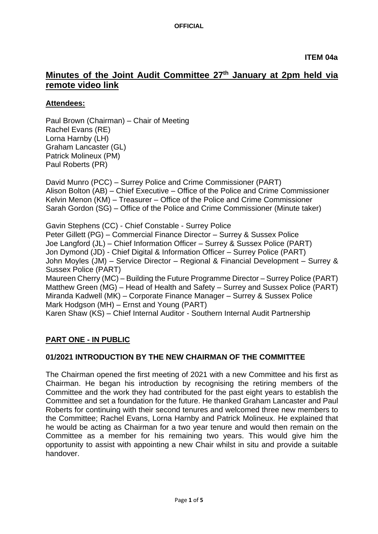# **Minutes of the Joint Audit Committee 27th January at 2pm held via remote video link**

### **Attendees:**

Paul Brown (Chairman) – Chair of Meeting Rachel Evans (RE) Lorna Harnby (LH) Graham Lancaster (GL) Patrick Molineux (PM) Paul Roberts (PR)

David Munro (PCC) – Surrey Police and Crime Commissioner (PART) Alison Bolton (AB) – Chief Executive – Office of the Police and Crime Commissioner Kelvin Menon (KM) – Treasurer – Office of the Police and Crime Commissioner Sarah Gordon (SG) – Office of the Police and Crime Commissioner (Minute taker)

Gavin Stephens (CC) - Chief Constable - Surrey Police Peter Gillett (PG) – Commercial Finance Director – Surrey & Sussex Police Joe Langford (JL) – Chief Information Officer – Surrey & Sussex Police (PART) Jon Dymond (JD) - Chief Digital & Information Officer – Surrey Police (PART) John Moyles (JM) – Service Director – Regional & Financial Development – Surrey & Sussex Police (PART)

Maureen Cherry (MC) – Building the Future Programme Director – Surrey Police (PART) Matthew Green (MG) – Head of Health and Safety – Surrey and Sussex Police (PART) Miranda Kadwell (MK) – Corporate Finance Manager – Surrey & Sussex Police Mark Hodgson (MH) – Ernst and Young (PART)

Karen Shaw (KS) – Chief Internal Auditor - Southern Internal Audit Partnership

## **PART ONE - IN PUBLIC**

### **01/2021 INTRODUCTION BY THE NEW CHAIRMAN OF THE COMMITTEE**

The Chairman opened the first meeting of 2021 with a new Committee and his first as Chairman. He began his introduction by recognising the retiring members of the Committee and the work they had contributed for the past eight years to establish the Committee and set a foundation for the future. He thanked Graham Lancaster and Paul Roberts for continuing with their second tenures and welcomed three new members to the Committee; Rachel Evans, Lorna Harnby and Patrick Molineux. He explained that he would be acting as Chairman for a two year tenure and would then remain on the Committee as a member for his remaining two years. This would give him the opportunity to assist with appointing a new Chair whilst in situ and provide a suitable handover.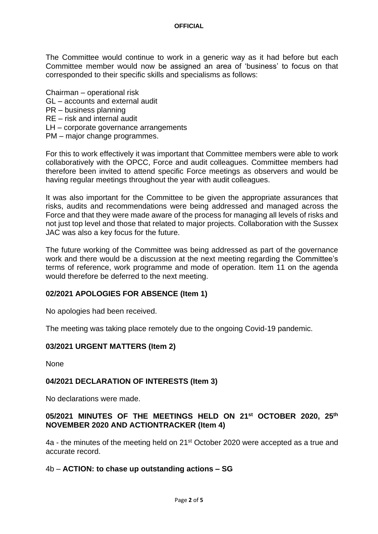#### **OFFICIAL**

The Committee would continue to work in a generic way as it had before but each Committee member would now be assigned an area of 'business' to focus on that corresponded to their specific skills and specialisms as follows:

Chairman – operational risk

- GL accounts and external audit
- PR business planning
- RE risk and internal audit
- LH corporate governance arrangements
- PM major change programmes.

For this to work effectively it was important that Committee members were able to work collaboratively with the OPCC, Force and audit colleagues. Committee members had therefore been invited to attend specific Force meetings as observers and would be having regular meetings throughout the year with audit colleagues.

It was also important for the Committee to be given the appropriate assurances that risks, audits and recommendations were being addressed and managed across the Force and that they were made aware of the process for managing all levels of risks and not just top level and those that related to major projects. Collaboration with the Sussex JAC was also a key focus for the future.

The future working of the Committee was being addressed as part of the governance work and there would be a discussion at the next meeting regarding the Committee's terms of reference, work programme and mode of operation. Item 11 on the agenda would therefore be deferred to the next meeting.

### **02/2021 APOLOGIES FOR ABSENCE (Item 1)**

No apologies had been received.

The meeting was taking place remotely due to the ongoing Covid-19 pandemic.

### **03/2021 URGENT MATTERS (Item 2)**

None

### **04/2021 DECLARATION OF INTERESTS (Item 3)**

No declarations were made.

### **05/2021 MINUTES OF THE MEETINGS HELD ON 21st OCTOBER 2020, 25th NOVEMBER 2020 AND ACTIONTRACKER (Item 4)**

4a - the minutes of the meeting held on 21st October 2020 were accepted as a true and accurate record.

### 4b – **ACTION: to chase up outstanding actions – SG**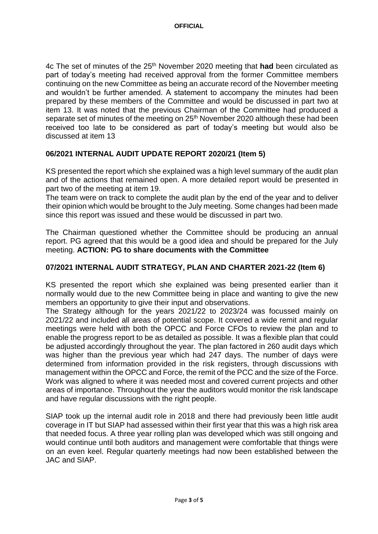4c The set of minutes of the 25th November 2020 meeting that **had** been circulated as part of today's meeting had received approval from the former Committee members continuing on the new Committee as being an accurate record of the November meeting and wouldn't be further amended. A statement to accompany the minutes had been prepared by these members of the Committee and would be discussed in part two at item 13. It was noted that the previous Chairman of the Committee had produced a separate set of minutes of the meeting on 25<sup>th</sup> November 2020 although these had been received too late to be considered as part of today's meeting but would also be discussed at item 13

### **06/2021 INTERNAL AUDIT UPDATE REPORT 2020/21 (Item 5)**

KS presented the report which she explained was a high level summary of the audit plan and of the actions that remained open. A more detailed report would be presented in part two of the meeting at item 19.

The team were on track to complete the audit plan by the end of the year and to deliver their opinion which would be brought to the July meeting. Some changes had been made since this report was issued and these would be discussed in part two.

The Chairman questioned whether the Committee should be producing an annual report. PG agreed that this would be a good idea and should be prepared for the July meeting. **ACTION: PG to share documents with the Committee**

### **07/2021 INTERNAL AUDIT STRATEGY, PLAN AND CHARTER 2021-22 (Item 6)**

KS presented the report which she explained was being presented earlier than it normally would due to the new Committee being in place and wanting to give the new members an opportunity to give their input and observations.

The Strategy although for the years 2021/22 to 2023/24 was focussed mainly on 2021/22 and included all areas of potential scope. It covered a wide remit and regular meetings were held with both the OPCC and Force CFOs to review the plan and to enable the progress report to be as detailed as possible. It was a flexible plan that could be adjusted accordingly throughout the year. The plan factored in 260 audit days which was higher than the previous year which had 247 days. The number of days were determined from information provided in the risk registers, through discussions with management within the OPCC and Force, the remit of the PCC and the size of the Force. Work was aligned to where it was needed most and covered current projects and other areas of importance. Throughout the year the auditors would monitor the risk landscape and have regular discussions with the right people.

SIAP took up the internal audit role in 2018 and there had previously been little audit coverage in IT but SIAP had assessed within their first year that this was a high risk area that needed focus. A three year rolling plan was developed which was still ongoing and would continue until both auditors and management were comfortable that things were on an even keel. Regular quarterly meetings had now been established between the JAC and SIAP.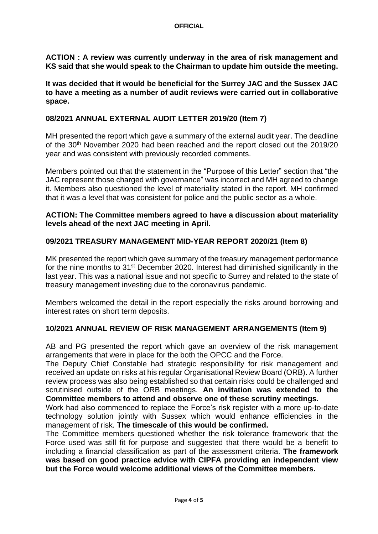**ACTION : A review was currently underway in the area of risk management and KS said that she would speak to the Chairman to update him outside the meeting.** 

**It was decided that it would be beneficial for the Surrey JAC and the Sussex JAC to have a meeting as a number of audit reviews were carried out in collaborative space.** 

### **08/2021 ANNUAL EXTERNAL AUDIT LETTER 2019/20 (Item 7)**

MH presented the report which gave a summary of the external audit year. The deadline of the 30<sup>th</sup> November 2020 had been reached and the report closed out the 2019/20 year and was consistent with previously recorded comments.

Members pointed out that the statement in the "Purpose of this Letter" section that "the JAC represent those charged with governance" was incorrect and MH agreed to change it. Members also questioned the level of materiality stated in the report. MH confirmed that it was a level that was consistent for police and the public sector as a whole.

#### **ACTION: The Committee members agreed to have a discussion about materiality levels ahead of the next JAC meeting in April.**

### **09/2021 TREASURY MANAGEMENT MID-YEAR REPORT 2020/21 (Item 8)**

MK presented the report which gave summary of the treasury management performance for the nine months to 31<sup>st</sup> December 2020. Interest had diminished significantly in the last year. This was a national issue and not specific to Surrey and related to the state of treasury management investing due to the coronavirus pandemic.

Members welcomed the detail in the report especially the risks around borrowing and interest rates on short term deposits.

### **10/2021 ANNUAL REVIEW OF RISK MANAGEMENT ARRANGEMENTS (Item 9)**

AB and PG presented the report which gave an overview of the risk management arrangements that were in place for the both the OPCC and the Force.

The Deputy Chief Constable had strategic responsibility for risk management and received an update on risks at his regular Organisational Review Board (ORB). A further review process was also being established so that certain risks could be challenged and scrutinised outside of the ORB meetings. **An invitation was extended to the Committee members to attend and observe one of these scrutiny meetings.**

Work had also commenced to replace the Force's risk register with a more up-to-date technology solution jointly with Sussex which would enhance efficiencies in the management of risk. **The timescale of this would be confirmed.** 

The Committee members questioned whether the risk tolerance framework that the Force used was still fit for purpose and suggested that there would be a benefit to including a financial classification as part of the assessment criteria. **The framework was based on good practice advice with CIPFA providing an independent view but the Force would welcome additional views of the Committee members.**